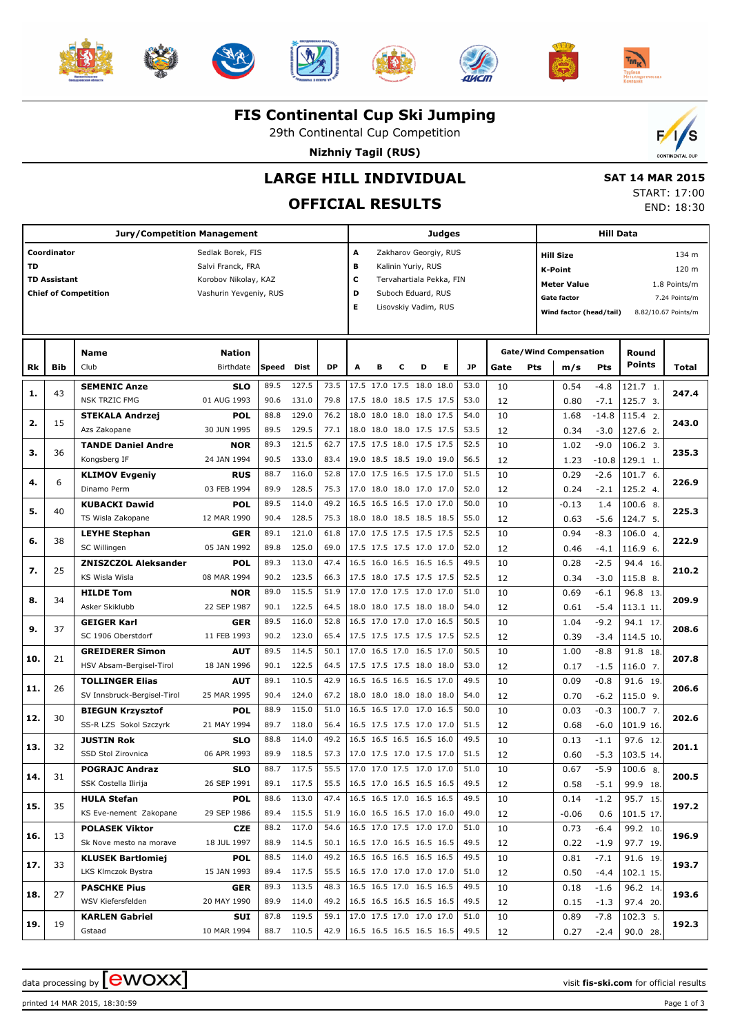













#### **FIS Continental Cup Ski Jumping**

29th Continental Cup Competition

**Nizhniy Tagil (RUS)**



**LARGE HILL INDIVIDUAL**

## **OFFICIAL RESULTS**

 **SAT 14 MAR 2015** START: 17:00 END: 18:30

| Jury/Competition Management |                     |                                               |                            |              |                     |                                 |                               |                                                      | <b>Judges</b> |                      |                       |              |          |                                    |                                      | <b>Hill Data</b> |                      |                     |  |  |
|-----------------------------|---------------------|-----------------------------------------------|----------------------------|--------------|---------------------|---------------------------------|-------------------------------|------------------------------------------------------|---------------|----------------------|-----------------------|--------------|----------|------------------------------------|--------------------------------------|------------------|----------------------|---------------------|--|--|
|                             | Coordinator         |                                               | Sedlak Borek, FIS          |              |                     |                                 | А                             |                                                      |               |                      | Zakharov Georgiy, RUS |              |          |                                    | <b>Hill Size</b>                     |                  |                      | 134 m               |  |  |
| TD                          |                     |                                               | Salvi Franck, FRA          |              |                     |                                 | в                             |                                                      |               | Kalinin Yuriy, RUS   |                       |              |          | 120 m<br><b>K-Point</b>            |                                      |                  |                      |                     |  |  |
|                             | <b>TD Assistant</b> |                                               | Korobov Nikolay, KAZ       |              |                     |                                 | c<br>Tervahartiala Pekka, FIN |                                                      |               |                      |                       |              |          | <b>Meter Value</b><br>1.8 Points/m |                                      |                  |                      |                     |  |  |
|                             |                     | <b>Chief of Competition</b>                   | Vashurin Yevgeniy, RUS     |              |                     |                                 | D                             |                                                      |               | Suboch Eduard, RUS   |                       |              |          |                                    | Gate factor                          |                  |                      | 7.24 Points/m       |  |  |
|                             |                     |                                               |                            |              |                     |                                 | Е                             |                                                      |               | Lisovskiy Vadim, RUS |                       |              |          |                                    | Wind factor (head/tail)              |                  |                      | 8.82/10.67 Points/m |  |  |
|                             |                     |                                               |                            |              |                     |                                 |                               |                                                      |               |                      |                       |              |          |                                    |                                      |                  |                      |                     |  |  |
|                             |                     |                                               |                            |              |                     |                                 |                               |                                                      |               |                      |                       |              |          |                                    |                                      |                  |                      |                     |  |  |
| Rk                          | Bib                 | <b>Name</b><br>Club                           | <b>Nation</b><br>Birthdate | Speed        | <b>Dist</b>         | <b>DP</b>                       | А                             | в                                                    | с             | D                    | Е                     | <b>JP</b>    | Gate     | Pts                                | <b>Gate/Wind Compensation</b><br>m/s | Pts              | Round<br>Points      | Total               |  |  |
|                             |                     |                                               |                            | 89.5         | 127.5               | 73.5                            |                               | 17.5 17.0 17.5 18.0 18.0                             |               |                      |                       | 53.0         | 10       |                                    |                                      | $-4.8$           |                      |                     |  |  |
| 1.                          | 43                  | <b>SEMENIC Anze</b><br><b>NSK TRZIC FMG</b>   | <b>SLO</b><br>01 AUG 1993  | 90.6         | 131.0               | 79.8                            |                               | 17.5 18.0 18.5 17.5 17.5                             |               |                      |                       | 53.0         | 12       |                                    | 0.54<br>0.80                         | $-7.1$           | 121.7 1.<br>125.7 3. | 247.4               |  |  |
|                             |                     | <b>STEKALA Andrzej</b>                        | <b>POL</b>                 | 88.8         | 129.0               | 76.2                            |                               | 18.0 18.0 18.0 18.0 17.5                             |               |                      |                       | 54.0         | 10       |                                    | 1.68                                 | $-14.8$          | 115.4 2.             |                     |  |  |
| 2.                          | 15                  | Azs Zakopane                                  | 30 JUN 1995                | 89.5         | 129.5               | 77.1                            |                               | 18.0 18.0 18.0 17.5 17.5                             |               |                      |                       | 53.5         | 12       |                                    | 0.34                                 | $-3.0$           | 127.6 2.             | 243.0               |  |  |
| з.                          | 36                  | <b>TANDE Daniel Andre</b>                     | <b>NOR</b>                 | 89.3         | 121.5               | 62.7                            |                               | 17.5 17.5 18.0 17.5 17.5                             |               |                      |                       | 52.5         | 10       |                                    | 1.02                                 | $-9.0$           | 106.2 3.             | 235.3               |  |  |
|                             |                     | Kongsberg IF                                  | 24 JAN 1994                | 90.5         | 133.0               | 83.4                            |                               | 19.0 18.5 18.5 19.0 19.0                             |               |                      |                       | 56.5         | 12       |                                    | 1.23                                 | $-10.8$          | 129.1 1.             |                     |  |  |
| 4.                          | 6                   | <b>KLIMOV Evgeniy</b>                         | <b>RUS</b>                 | 88.7         | 116.0               | 52.8                            |                               | 17.0 17.5 16.5 17.5 17.0                             |               |                      |                       | 51.5         | 10       |                                    | 0.29                                 | $-2.6$           | 101.7 6.             | 226.9               |  |  |
|                             |                     | Dinamo Perm                                   | 03 FEB 1994                | 89.9         | 128.5               | 75.3                            |                               | 17.0 18.0 18.0 17.0 17.0                             |               |                      |                       | 52.0         | 12       |                                    | 0.24                                 | $-2.1$           | 125.2 4.             |                     |  |  |
| 5.                          | 40                  | <b>KUBACKI Dawid</b>                          | <b>POL</b>                 | 89.5         | 114.0               | 49.2                            |                               | 16.5 16.5 16.5 17.0 17.0                             |               |                      |                       | 50.0         | 10       |                                    | $-0.13$                              | 1.4              | 100.6 8.             | 225.3               |  |  |
|                             |                     | TS Wisla Zakopane                             | 12 MAR 1990                | 90.4         | 128.5               | 75.3                            |                               | 18.0 18.0 18.5 18.5 18.5                             |               |                      |                       | 55.0         | 12       |                                    | 0.63                                 | $-5.6$           | 124.7 5.             |                     |  |  |
| 6.                          | 38                  | <b>LEYHE Stephan</b><br>SC Willingen          | <b>GER</b>                 | 89.1<br>89.8 | 121.0               | 61.8<br>69.0                    |                               | 17.0 17.5 17.5 17.5 17.5                             |               |                      |                       | 52.5<br>52.0 | 10       |                                    | 0.94                                 | $-8.3$           | 106.0 4.<br>116.9 6. | 222.9               |  |  |
|                             |                     | <b>ZNISZCZOL Aleksander</b>                   | 05 JAN 1992<br><b>POL</b>  | 89.3         | 125.0<br>113.0      | 47.4                            |                               | 17.5 17.5 17.5 17.0 17.0<br>16.5 16.0 16.5 16.5 16.5 |               |                      |                       | 49.5         | 12<br>10 |                                    | 0.46<br>0.28                         | $-4.1$<br>$-2.5$ | 94.4 16.             |                     |  |  |
| 7.                          | 25                  | <b>KS Wisla Wisla</b>                         | 08 MAR 1994                | 90.2         | 123.5               | 66.3                            |                               | 17.5 18.0 17.5 17.5 17.5                             |               |                      |                       | 52.5         | 12       |                                    | 0.34                                 | $-3.0$           | 115.8 8.             | 210.2               |  |  |
|                             |                     | <b>HILDE Tom</b>                              | <b>NOR</b>                 | 89.0         | 115.5               | 51.9                            |                               | 17.0 17.0 17.5 17.0 17.0                             |               |                      |                       | 51.0         | 10       |                                    | 0.69                                 | $-6.1$           | 96.8 13.             |                     |  |  |
| 8.                          | 34                  | Asker Skiklubb                                | 22 SEP 1987                | 90.1         | 122.5               | 64.5                            |                               | 18.0 18.0 17.5 18.0 18.0                             |               |                      |                       | 54.0         | 12       |                                    | 0.61                                 | $-5.4$           | 113.1 11.            | 209.9               |  |  |
|                             |                     | <b>GEIGER Karl</b>                            | <b>GER</b>                 | 89.5         | 116.0               | 52.8                            |                               | 16.5 17.0 17.0 17.0 16.5                             |               |                      |                       | 50.5         | 10       |                                    | 1.04                                 | $-9.2$           | 94.1 17.             |                     |  |  |
| 9.                          | 37                  | SC 1906 Oberstdorf                            | 11 FEB 1993                | 90.2         | 123.0               | 65.4                            |                               | 17.5 17.5 17.5 17.5 17.5                             |               |                      |                       | 52.5         | 12       |                                    | 0.39                                 | $-3.4$           | 114.5 10.            | 208.6               |  |  |
|                             | 21                  | <b>GREIDERER Simon</b>                        | <b>AUT</b>                 | 89.5         | 114.5               | 50.1                            |                               | 17.0 16.5 17.0 16.5 17.0                             |               |                      |                       | 50.5         | 10       |                                    | 1.00                                 | $-8.8$           | 91.8 18.             | 207.8               |  |  |
| 10.                         |                     | HSV Absam-Bergisel-Tirol                      | 18 JAN 1996                | 90.1         | 122.5               | 64.5                            |                               | 17.5 17.5 17.5 18.0 18.0                             |               |                      |                       | 53.0         | 12       |                                    | 0.17                                 | $-1.5$           | $116.07$ .           |                     |  |  |
| 11.                         | 26                  | <b>TOLLINGER Elias</b>                        | <b>AUT</b>                 | 89.1         | 110.5               | 42.9                            |                               | 16.5 16.5 16.5 16.5 17.0                             |               |                      |                       | 49.5         | 10       |                                    | 0.09                                 | $-0.8$           | 91.6 19.             | 206.6               |  |  |
|                             |                     | SV Innsbruck-Bergisel-Tirol                   | 25 MAR 1995                | 90.4         | 124.0               | 67.2                            |                               | 18.0 18.0 18.0 18.0 18.0                             |               |                      |                       | 54.0         | 12       |                                    | 0.70                                 | $-6.2$           | $115.09$ .           |                     |  |  |
| 12.                         | 30                  | <b>BIEGUN Krzysztof</b>                       | <b>POL</b>                 | 88.9         | 115.0               | 51.0                            |                               | 16.5 16.5 17.0 17.0 16.5                             |               |                      |                       | 50.0         | 10       |                                    | 0.03                                 | $-0.3$           | 100.7, 7.            | 202.6               |  |  |
|                             |                     | SS-R LZS Sokol Szczyrk                        | 21 MAY 1994                | 89.7         | 118.0               | 56.4                            |                               | 16.5 17.5 17.5 17.0 17.0                             |               |                      |                       | 51.5         | 12       |                                    | 0.68                                 | $-6.0$           | 101.9 16.            |                     |  |  |
| 13.                         | 32                  | <b>JUSTIN Rok</b>                             | <b>SLO</b>                 | 88.8         | 114.0               | 49.2                            |                               | 16.5 16.5 16.5 16.5 16.0                             |               |                      |                       | 49.5         | 10       |                                    | 0.13                                 | $-1.1$           | 97.6 12.             | 201.1               |  |  |
|                             |                     | SSD Stol Zirovnica                            | 06 APR 1993                | 89.9         | 118.5               | 57.3                            |                               | 17.0 17.5 17.0 17.5 17.0                             |               |                      |                       | 51.5         | 12       |                                    | 0.60                                 | $-5.3$           | 103.5 14.            |                     |  |  |
| 14.                         | 31                  | <b>POGRAJC Andraz</b><br>SSK Costella Ilirija | <b>SLO</b><br>26 SEP 1991  | 88.7         | 117.5<br>89.1 117.5 | 55.5<br>55.5                    | $16.5$ 17.0 16.5 16.5 16.5    | 17.0 17.0 17.5 17.0 17.0                             |               |                      |                       | 51.0<br>49.5 | 10       |                                    | 0.67                                 | $-5.9$           | $100.6$ 8.           | 200.5               |  |  |
|                             |                     | <b>HULA Stefan</b>                            | <b>POL</b>                 | 88.6         | 113.0               | 47.4 16.5 16.5 17.0 16.5 16.5   |                               |                                                      |               |                      |                       | 49.5         | 12<br>10 |                                    | 0.58<br>0.14                         | $-5.1$<br>$-1.2$ | 99.9 18.<br>95.7 15. |                     |  |  |
| 15.                         | 35                  | KS Eve-nement Zakopane                        | 29 SEP 1986                |              | 89.4 115.5          | 51.9                            | $16.0$ 16.5 16.5 17.0 16.0    |                                                      |               |                      |                       | 49.0         | 12       |                                    | $-0.06$                              | 0.6              | 101.5 17.            | 197.2               |  |  |
|                             |                     | <b>POLASEK Viktor</b>                         | CZE                        | 88.2         | 117.0               | 54.6                            | 16.5 17.0 17.5 17.0 17.0      |                                                      |               |                      |                       | 51.0         | 10       |                                    | 0.73                                 | -6.4             | 99.2 10.             |                     |  |  |
| 16.                         | 13                  | Sk Nove mesto na morave                       | 18 JUL 1997                |              | 88.9 114.5          | 50.1   16.5 17.0 16.5 16.5 16.5 |                               |                                                      |               |                      |                       | 49.5         | 12       |                                    | 0.22                                 | $-1.9$           | 97.7 19.             | 196.9               |  |  |
|                             |                     | <b>KLUSEK Bartlomiej</b>                      | <b>POL</b>                 | 88.5         | 114.0               | 49.2                            | $16.5$ 16.5 16.5 16.5 16.5    |                                                      |               |                      |                       | 49.5         | 10       |                                    | 0.81                                 | -7.1             | 91.6 19.             |                     |  |  |
| 17.                         | 33                  | LKS Klmczok Bystra                            | 15 JAN 1993                |              | 89.4 117.5          | 55.5   16.5 17.0 17.0 17.0 17.0 |                               |                                                      |               |                      |                       | 51.0         | 12       |                                    | 0.50                                 | -4.4             | 102.1 15.            | 193.7               |  |  |
| 18.                         | 27                  | <b>PASCHKE Pius</b>                           | <b>GER</b>                 | 89.3         | 113.5               | 48.3                            |                               | 16.5 16.5 17.0 16.5 16.5                             |               |                      |                       | 49.5         | 10       |                                    | 0.18                                 | -1.6             | 96.2 14.             | 193.6               |  |  |
|                             |                     | WSV Kiefersfelden                             | 20 MAY 1990                |              | 89.9 114.0          | 49.2 16.5 16.5 16.5 16.5 16.5   |                               |                                                      |               |                      |                       | 49.5         | 12       |                                    | 0.15                                 | $-1.3$           | 97.4 20.             |                     |  |  |
| 19.                         | 19                  | <b>KARLEN Gabriel</b>                         | SUI                        | 87.8         | 119.5               | 59.1 17.0 17.5 17.0 17.0 17.0   |                               |                                                      |               |                      |                       | 51.0         | 10       |                                    | 0.89                                 | -7.8             | 102.3 5.             | 192.3               |  |  |
|                             |                     | Gstaad                                        | 10 MAR 1994                |              | 88.7 110.5          | 42.9 16.5 16.5 16.5 16.5 16.5   |                               |                                                      |               |                      |                       | 49.5         | 12       |                                    | 0.27                                 | $-2.4$           | 90.0 28.             |                     |  |  |

data processing by **CWOXX** and the contract of the contract of the visit **fis-ski.com** for official results

printed 14 MAR 2015, 18:30:59 Page 1 of 3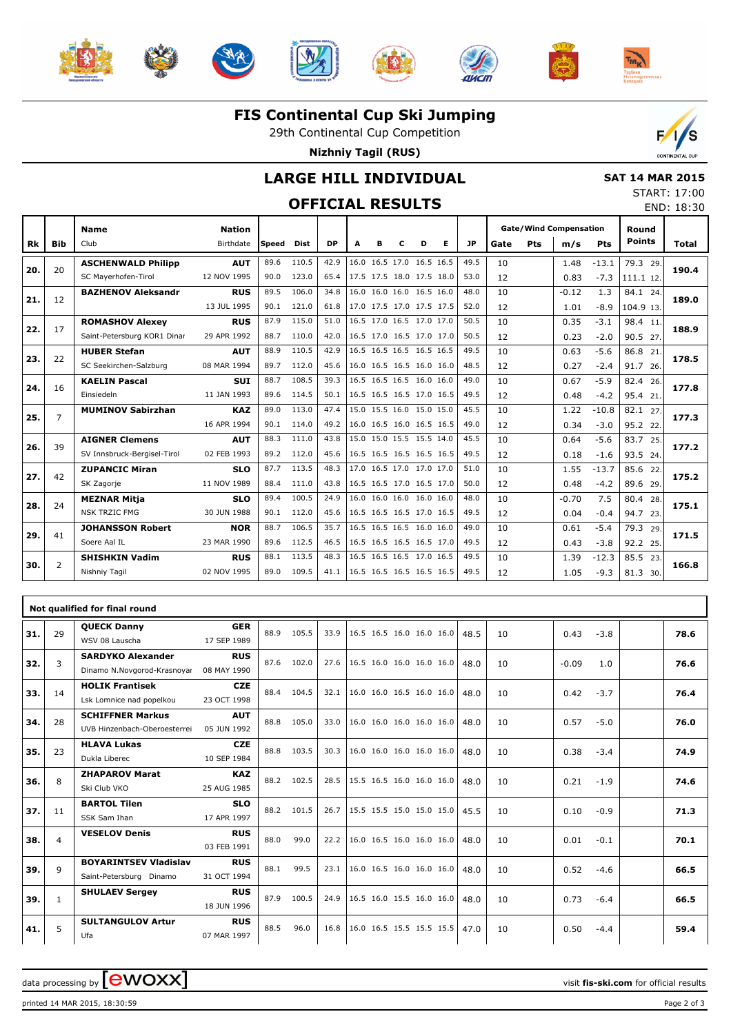













### **FIS Continental Cup Ski Jumping**

29th Continental Cup Competition

**Nizhniy Tagil (RUS)**



END: 18:30

### **LARGE HILL INDIVIDUAL**

## **OFFICIAL RESULTS**

 **SAT 14 MAR 2015** START: 17:00

|           |                | <b>Name</b>                 | <b>Nation</b> |       |             |           |   |                          |   |   |   |           |      |     | <b>Gate/Wind Compensation</b> |         | Round         |              |
|-----------|----------------|-----------------------------|---------------|-------|-------------|-----------|---|--------------------------|---|---|---|-----------|------|-----|-------------------------------|---------|---------------|--------------|
| <b>Rk</b> | <b>Bib</b>     | Club                        | Birthdate     | Speed | <b>Dist</b> | <b>DP</b> | A | в                        | c | D | Е | <b>JP</b> | Gate | Pts | m/s                           | Pts     | <b>Points</b> | <b>Total</b> |
|           |                | <b>ASCHENWALD Philipp</b>   | <b>AUT</b>    | 89.6  | 110.5       | 42.9      |   | 16.0 16.5 17.0 16.5 16.5 |   |   |   | 49.5      | 10   |     | 1.48                          | $-13.1$ | 79.3 29.      |              |
| 20.       | 20             | SC Mayerhofen-Tirol         | 12 NOV 1995   | 90.0  | 123.0       | 65.4      |   | 17.5 17.5 18.0 17.5 18.0 |   |   |   | 53.0      | 12   |     | 0.83                          | $-7.3$  | 111.1 12.     | 190.4        |
| 21.       | 12             | <b>BAZHENOV Aleksandr</b>   | <b>RUS</b>    | 89.5  | 106.0       | 34.8      |   | 16.0 16.0 16.0 16.5 16.0 |   |   |   | 48.0      | 10   |     | $-0.12$                       | 1.3     | 84.1 24.      | 189.0        |
|           |                |                             | 13 JUL 1995   | 90.1  | 121.0       | 61.8      |   | 17.0 17.5 17.0 17.5 17.5 |   |   |   | 52.0      | 12   |     | 1.01                          | $-8.9$  | 104.9 13.     |              |
| 22.       | 17             | <b>ROMASHOV Alexey</b>      | <b>RUS</b>    | 87.9  | 115.0       | 51.0      |   | 16.5 17.0 16.5 17.0 17.0 |   |   |   | 50.5      | 10   |     | 0.35                          | $-3.1$  | 98.4 11.      | 188.9        |
|           |                | Saint-Petersburg KOR1 Dinar | 29 APR 1992   | 88.7  | 110.0       | 42.0      |   | 16.5 17.0 16.5 17.0 17.0 |   |   |   | 50.5      | 12   |     | 0.23                          | $-2.0$  | 90.5 27.      |              |
| 23.       | 22             | <b>HUBER Stefan</b>         | <b>AUT</b>    | 88.9  | 110.5       | 42.9      |   | 16.5 16.5 16.5 16.5 16.5 |   |   |   | 49.5      | 10   |     | 0.63                          | $-5.6$  | 86.8<br>21.   | 178.5        |
|           |                | SC Seekirchen-Salzburg      | 08 MAR 1994   | 89.7  | 112.0       | 45.6      |   | 16.0 16.5 16.5 16.0 16.0 |   |   |   | 48.5      | 12   |     | 0.27                          | $-2.4$  | 91.7 26.      |              |
| 24.       | 16             | <b>KAELIN Pascal</b>        | <b>SUI</b>    | 88.7  | 108.5       | 39.3      |   | 16.5 16.5 16.5 16.0 16.0 |   |   |   | 49.0      | 10   |     | 0.67                          | $-5.9$  | 82.4<br>26.   | 177.8        |
|           |                | Einsiedeln                  | 11 JAN 1993   | 89.6  | 114.5       | 50.1      |   | 16.5 16.5 16.5 17.0 16.5 |   |   |   | 49.5      | 12   |     | 0.48                          | $-4.2$  | 95.4 21.      |              |
| 25.       | $\overline{7}$ | <b>MUMINOV Sabirzhan</b>    | <b>KAZ</b>    | 89.0  | 113.0       | 47.4      |   | 15.0 15.5 16.0 15.0 15.0 |   |   |   | 45.5      | 10   |     | 1.22                          | $-10.8$ | 82.1 27.      | 177.3        |
|           |                |                             | 16 APR 1994   | 90.1  | 114.0       | 49.2      |   | 16.0 16.5 16.0 16.5 16.5 |   |   |   | 49.0      | 12   |     | 0.34                          | $-3.0$  | 95.2 22.      |              |
| 26.       | 39             | <b>AIGNER Clemens</b>       | <b>AUT</b>    | 88.3  | 111.0       | 43.8      |   | 15.0 15.0 15.5 15.5 14.0 |   |   |   | 45.5      | 10   |     | 0.64                          | $-5.6$  | 83.7 25.      | 177.2        |
|           |                | SV Innsbruck-Beraisel-Tirol | 02 FEB 1993   | 89.2  | 112.0       | 45.6      |   | 16.5 16.5 16.5 16.5 16.5 |   |   |   | 49.5      | 12   |     | 0.18                          | $-1.6$  | 93.5 24.      |              |
| 27.       | 42             | <b>ZUPANCIC Miran</b>       | <b>SLO</b>    | 87.7  | 113.5       | 48.3      |   | 17.0 16.5 17.0 17.0 17.0 |   |   |   | 51.0      | 10   |     | 1.55                          | $-13.7$ | 85.6<br>22.   | 175.2        |
|           |                | SK Zagorje                  | 11 NOV 1989   | 88.4  | 111.0       | 43.8      |   | 16.5 16.5 17.0 16.5 17.0 |   |   |   | 50.0      | 12   |     | 0.48                          | $-4.2$  | 89.6 29.      |              |
| 28.       | 24             | <b>MEZNAR Mitja</b>         | <b>SLO</b>    | 89.4  | 100.5       | 24.9      |   | 16.0 16.0 16.0 16.0 16.0 |   |   |   | 48.0      | 10   |     | $-0.70$                       | 7.5     | 80.4<br>28.   | 175.1        |
|           |                | <b>NSK TRZIC FMG</b>        | 30 JUN 1988   | 90.1  | 112.0       | 45.6      |   | 16.5 16.5 16.5 17.0 16.5 |   |   |   | 49.5      | 12   |     | 0.04                          | $-0.4$  | 94.7 23.      |              |
| 29.       | 41             | <b>JOHANSSON Robert</b>     | <b>NOR</b>    | 88.7  | 106.5       | 35.7      |   | 16.5 16.5 16.5 16.0 16.0 |   |   |   | 49.0      | 10   |     | 0.61                          | $-5.4$  | 79.3<br>29.   | 171.5        |
|           |                | Soere Aal IL                | 23 MAR 1990   | 89.6  | 112.5       | 46.5      |   | 16.5 16.5 16.5 16.5 17.0 |   |   |   | 49.5      | 12   |     | 0.43                          | $-3.8$  | 92.2 25.      |              |
| 30.       | $\overline{2}$ | <b>SHISHKIN Vadim</b>       | <b>RUS</b>    | 88.1  | 113.5       | 48.3      |   | 16.5 16.5 16.5 17.0 16.5 |   |   |   | 49.5      | 10   |     | 1.39                          | $-12.3$ | 85.5 23.      | 166.8        |
|           |                | Nishniy Tagil               | 02 NOV 1995   | 89.0  | 109.5       | 41.1      |   | 16.5 16.5 16.5 16.5 16.5 |   |   |   | 49.5      | 12   |     | 1.05                          | $-9.3$  | 81.3 30.      |              |

|     |                | Not qualified for final round                           |                           |      |       |      |                          |  |      |    |         |        |      |
|-----|----------------|---------------------------------------------------------|---------------------------|------|-------|------|--------------------------|--|------|----|---------|--------|------|
| 31. | 29             | <b>QUECK Danny</b><br>WSV 08 Lauscha                    | <b>GER</b><br>17 SEP 1989 | 88.9 | 105.5 | 33.9 | 16.5 16.5 16.0 16.0 16.0 |  | 48.5 | 10 | 0.43    | $-3.8$ | 78.6 |
| 32. | 3              | <b>SARDYKO Alexander</b><br>Dinamo N.Novgorod-Krasnoyar | <b>RUS</b><br>08 MAY 1990 | 87.6 | 102.0 | 27.6 | 16.5 16.0 16.0 16.0 16.0 |  | 48.0 | 10 | $-0.09$ | 1.0    | 76.6 |
| 33. | 14             | <b>HOLIK Frantisek</b><br>Lsk Lomnice nad popelkou      | <b>CZE</b><br>23 OCT 1998 | 88.4 | 104.5 | 32.1 | 16.0 16.0 16.5 16.0 16.0 |  | 48.0 | 10 | 0.42    | $-3.7$ | 76.4 |
| 34. | 28             | <b>SCHIFFNER Markus</b><br>UVB Hinzenbach-Oberoesterrei | <b>AUT</b><br>05 JUN 1992 | 88.8 | 105.0 | 33.0 | 16.0 16.0 16.0 16.0 16.0 |  | 48.0 | 10 | 0.57    | $-5.0$ | 76.0 |
| 35. | 23             | <b>HLAVA Lukas</b><br>Dukla Liberec                     | <b>CZE</b><br>10 SEP 1984 | 88.8 | 103.5 | 30.3 | 16.0 16.0 16.0 16.0 16.0 |  | 48.0 | 10 | 0.38    | $-3.4$ | 74.9 |
| 36. | 8              | <b>ZHAPAROV Marat</b><br>Ski Club VKO                   | <b>KAZ</b><br>25 AUG 1985 | 88.2 | 102.5 | 28.5 | 15.5 16.5 16.0 16.0 16.0 |  | 48.0 | 10 | 0.21    | $-1.9$ | 74.6 |
| 37. | 11             | <b>BARTOL Tilen</b><br>SSK Sam Ihan                     | <b>SLO</b><br>17 APR 1997 | 88.2 | 101.5 | 26.7 | 15.5 15.5 15.0 15.0 15.0 |  | 45.5 | 10 | 0.10    | $-0.9$ | 71.3 |
| 38. | $\overline{4}$ | <b>VESELOV Denis</b>                                    | <b>RUS</b><br>03 FEB 1991 | 88.0 | 99.0  | 22.2 | 16.0 16.5 16.0 16.0 16.0 |  | 48.0 | 10 | 0.01    | $-0.1$ | 70.1 |
| 39. | 9              | <b>BOYARINTSEV Vladislav</b><br>Saint-Petersburg Dinamo | <b>RUS</b><br>31 OCT 1994 | 88.1 | 99.5  | 23.1 | 16.0 16.5 16.0 16.0 16.0 |  | 48.0 | 10 | 0.52    | $-4.6$ | 66.5 |
| 39. | $\mathbf{1}$   | <b>SHULAEV Sergey</b>                                   | <b>RUS</b><br>18 JUN 1996 | 87.9 | 100.5 | 24.9 | 16.5 16.0 15.5 16.0 16.0 |  | 48.0 | 10 | 0.73    | $-6.4$ | 66.5 |
| 41. | 5              | <b>SULTANGULOV Artur</b><br>Ufa                         | <b>RUS</b><br>07 MAR 1997 | 88.5 | 96.0  | 16.8 | 16.0 16.5 15.5 15.5 15.5 |  | 47.0 | 10 | 0.50    | $-4.4$ | 59.4 |

data processing by **CWOXX**  $\blacksquare$ 

printed 14 MAR 2015, 18:30:59 Page 2 of 3